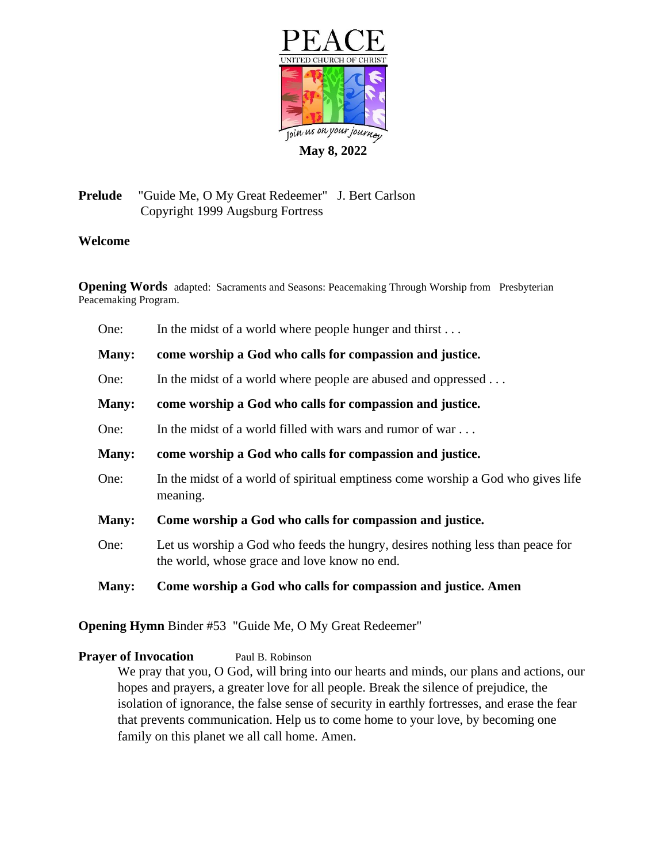

# **Prelude** "Guide Me, O My Great Redeemer" J. Bert Carlson Copyright 1999 Augsburg Fortress

## **Welcome**

**Opening Words** adapted: Sacraments and Seasons: Peacemaking Through Worship from Presbyterian Peacemaking Program.

| One:         | In the midst of a world where people hunger and thirst                                                                         |  |
|--------------|--------------------------------------------------------------------------------------------------------------------------------|--|
| Many:        | come worship a God who calls for compassion and justice.                                                                       |  |
| One:         | In the midst of a world where people are abused and oppressed                                                                  |  |
| Many:        | come worship a God who calls for compassion and justice.                                                                       |  |
| One:         | In the midst of a world filled with wars and rumor of war                                                                      |  |
| Many:        | come worship a God who calls for compassion and justice.                                                                       |  |
| One:         | In the midst of a world of spiritual emptiness come worship a God who gives life<br>meaning.                                   |  |
| Many:        | Come worship a God who calls for compassion and justice.                                                                       |  |
| One:         | Let us worship a God who feeds the hungry, desires nothing less than peace for<br>the world, whose grace and love know no end. |  |
| <b>Many:</b> | Come worship a God who calls for compassion and justice. Amen                                                                  |  |

**Opening Hymn** Binder #53 "Guide Me, O My Great Redeemer"

## **Prayer of Invocation** Paul B. Robinson

We pray that you, O God, will bring into our hearts and minds, our plans and actions, our hopes and prayers, a greater love for all people. Break the silence of prejudice, the isolation of ignorance, the false sense of security in earthly fortresses, and erase the fear that prevents communication. Help us to come home to your love, by becoming one family on this planet we all call home. Amen.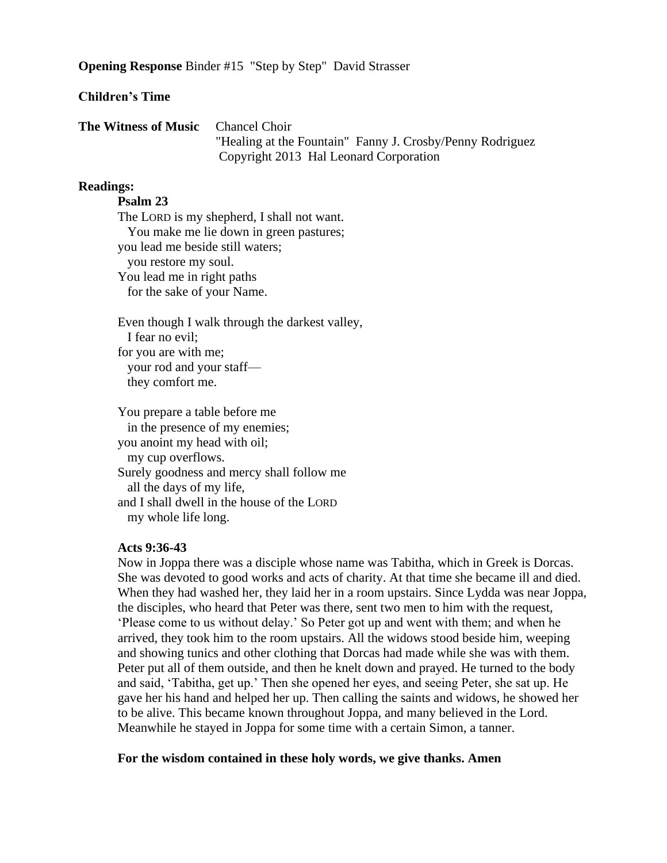**Opening Response** Binder #15 "Step by Step" David Strasser

### **Children's Time**

| <b>The Witness of Music</b> Chancel Choir |                                                           |
|-------------------------------------------|-----------------------------------------------------------|
|                                           | "Healing at the Fountain" Fanny J. Crosby/Penny Rodriguez |
|                                           | Copyright 2013 Hal Leonard Corporation                    |

#### **Readings:**

#### **Psalm 23**

The LORD is my shepherd, I shall not want. You make me lie down in green pastures; you lead me beside still waters; you restore my soul. You lead me in right paths for the sake of your Name.

Even though I walk through the darkest valley, I fear no evil; for you are with me; your rod and your staff they comfort me.

You prepare a table before me in the presence of my enemies; you anoint my head with oil; my cup overflows. Surely goodness and mercy shall follow me all the days of my life, and I shall dwell in the house of the LORD my whole life long.

#### **Acts 9:36-43**

Now in Joppa there was a disciple whose name was Tabitha, which in Greek is Dorcas. She was devoted to good works and acts of charity. At that time she became ill and died. When they had washed her, they laid her in a room upstairs. Since Lydda was near Joppa, the disciples, who heard that Peter was there, sent two men to him with the request, 'Please come to us without delay.' So Peter got up and went with them; and when he arrived, they took him to the room upstairs. All the widows stood beside him, weeping and showing tunics and other clothing that Dorcas had made while she was with them. Peter put all of them outside, and then he knelt down and prayed. He turned to the body and said, 'Tabitha, get up.' Then she opened her eyes, and seeing Peter, she sat up. He gave her his hand and helped her up. Then calling the saints and widows, he showed her to be alive. This became known throughout Joppa, and many believed in the Lord. Meanwhile he stayed in Joppa for some time with a certain Simon, a tanner.

#### **For the wisdom contained in these holy words, we give thanks. Amen**